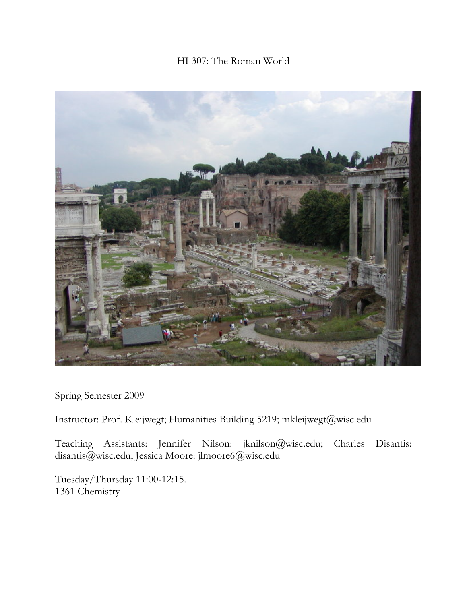# HI 307: The Roman World



Spring Semester 2009

Instructor: Prof. Kleijwegt; Humanities Building 5219; mkleijwegt@wisc.edu

Teaching Assistants: Jennifer Nilson: jknilson@wisc.edu; Charles Disantis: disantis@wisc.edu; Jessica Moore: jlmoore6@wisc.edu

Tuesday/Thursday 11:00-12:15. 1361 Chemistry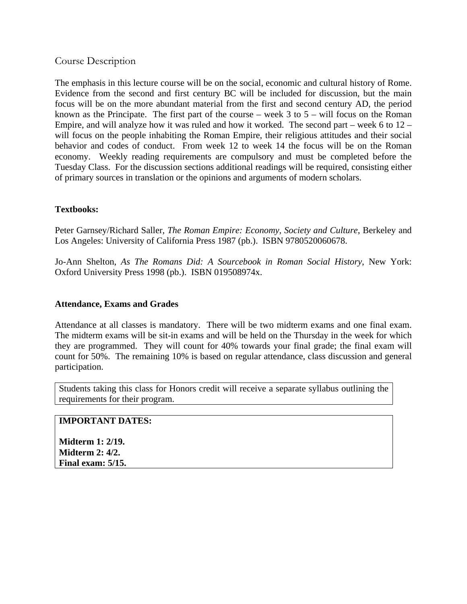## Course Description

The emphasis in this lecture course will be on the social, economic and cultural history of Rome. Evidence from the second and first century BC will be included for discussion, but the main focus will be on the more abundant material from the first and second century AD, the period known as the Principate. The first part of the course – week  $3$  to  $5$  – will focus on the Roman Empire, and will analyze how it was ruled and how it worked. The second part – week 6 to 12 – will focus on the people inhabiting the Roman Empire, their religious attitudes and their social behavior and codes of conduct. From week 12 to week 14 the focus will be on the Roman economy. Weekly reading requirements are compulsory and must be completed before the Tuesday Class. For the discussion sections additional readings will be required, consisting either of primary sources in translation or the opinions and arguments of modern scholars.

### **Textbooks:**

Peter Garnsey/Richard Saller, *The Roman Empire: Economy, Society and Culture*, Berkeley and Los Angeles: University of California Press 1987 (pb.). ISBN 9780520060678.

Jo-Ann Shelton, *As The Romans Did: A Sourcebook in Roman Social History*, New York: Oxford University Press 1998 (pb.). ISBN 019508974x.

#### **Attendance, Exams and Grades**

Attendance at all classes is mandatory. There will be two midterm exams and one final exam. The midterm exams will be sit-in exams and will be held on the Thursday in the week for which they are programmed. They will count for 40% towards your final grade; the final exam will count for 50%. The remaining 10% is based on regular attendance, class discussion and general participation.

Students taking this class for Honors credit will receive a separate syllabus outlining the requirements for their program.

#### **IMPORTANT DATES:**

**Midterm 1: 2/19. Midterm 2: 4/2. Final exam: 5/15.**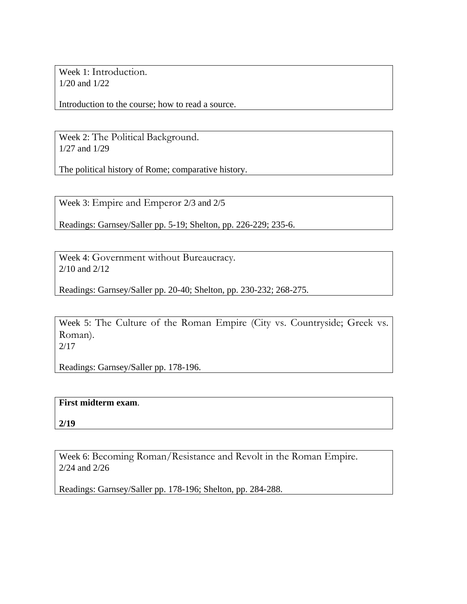Week 1: Introduction. 1/20 and 1/22

Introduction to the course; how to read a source.

Week 2: The Political Background. 1/27 and 1/29

The political history of Rome; comparative history.

Week 3: Empire and Emperor 2/3 and 2/5

Readings: Garnsey/Saller pp. 5-19; Shelton, pp. 226-229; 235-6.

Week 4: Government without Bureaucracy. 2/10 and 2/12

Readings: Garnsey/Saller pp. 20-40; Shelton, pp. 230-232; 268-275.

Week 5: The Culture of the Roman Empire (City vs. Countryside; Greek vs. Roman). 2/17

Readings: Garnsey/Saller pp. 178-196.

## **First midterm exam**.

**2/19** 

Week 6: Becoming Roman/Resistance and Revolt in the Roman Empire. 2/24 and 2/26

Readings: Garnsey/Saller pp. 178-196; Shelton, pp. 284-288.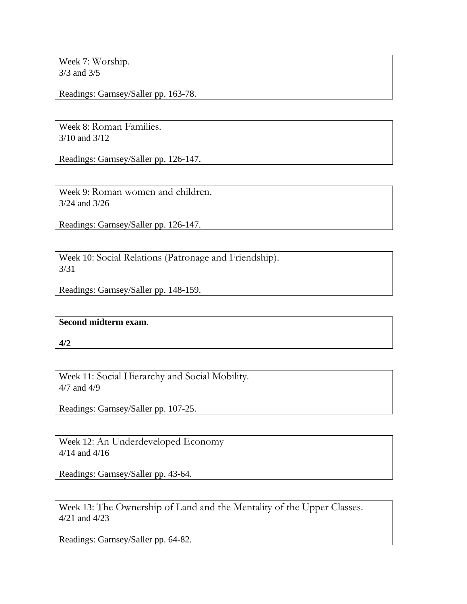Week 7: Worship. 3/3 and 3/5

Readings: Garnsey/Saller pp. 163-78.

Week 8: Roman Families. 3/10 and 3/12

Readings: Garnsey/Saller pp. 126-147.

Week 9: Roman women and children. 3/24 and 3/26

Readings: Garnsey/Saller pp. 126-147.

Week 10: Social Relations (Patronage and Friendship). 3/31

Readings: Garnsey/Saller pp. 148-159.

## **Second midterm exam**.

**4/2**

Week 11: Social Hierarchy and Social Mobility. 4/7 and 4/9

Readings: Garnsey/Saller pp. 107-25.

Week 12: An Underdeveloped Economy 4/14 and 4/16

Readings: Garnsey/Saller pp. 43-64.

Week 13: The Ownership of Land and the Mentality of the Upper Classes. 4/21 and 4/23

Readings: Garnsey/Saller pp. 64-82.